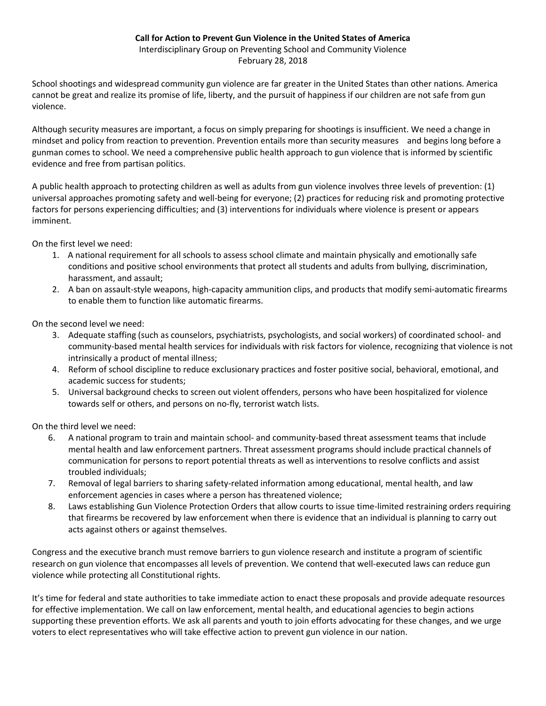# **Call for Action to Prevent Gun Violence in the United States of America**

Interdisciplinary Group on Preventing School and Community Violence February 28, 2018

School shootings and widespread community gun violence are far greater in the United States than other nations. America cannot be great and realize its promise of life, liberty, and the pursuit of happiness if our children are not safe from gun violence.

Although security measures are important, a focus on simply preparing for shootings is insufficient. We need a change in mindset and policy from reaction to prevention. Prevention entails more than security measures and begins long before a gunman comes to school. We need a comprehensive public health approach to gun violence that is informed by scientific evidence and free from partisan politics.

A public health approach to protecting children as well as adults from gun violence involves three levels of prevention: (1) universal approaches promoting safety and well-being for everyone; (2) practices for reducing risk and promoting protective factors for persons experiencing difficulties; and (3) interventions for individuals where violence is present or appears imminent.

On the first level we need:

- 1. A national requirement for all schools to assess school climate and maintain physically and emotionally safe conditions and positive school environments that protect all students and adults from bullying, discrimination, harassment, and assault;
- 2. A ban on assault-style weapons, high-capacity ammunition clips, and products that modify semi-automatic firearms to enable them to function like automatic firearms.

On the second level we need:

- 3. Adequate staffing (such as counselors, psychiatrists, psychologists, and social workers) of coordinated school- and community-based mental health services for individuals with risk factors for violence, recognizing that violence is not intrinsically a product of mental illness;
- 4. Reform of school discipline to reduce exclusionary practices and foster positive social, behavioral, emotional, and academic success for students;
- 5. Universal background checks to screen out violent offenders, persons who have been hospitalized for violence towards self or others, and persons on no-fly, terrorist watch lists.

On the third level we need:

- 6. A national program to train and maintain school- and community-based threat assessment teams that include mental health and law enforcement partners. Threat assessment programs should include practical channels of communication for persons to report potential threats as well as interventions to resolve conflicts and assist troubled individuals;
- 7. Removal of legal barriers to sharing safety-related information among educational, mental health, and law enforcement agencies in cases where a person has threatened violence;
- 8. Laws establishing Gun Violence Protection Orders that allow courts to issue time-limited restraining orders requiring that firearms be recovered by law enforcement when there is evidence that an individual is planning to carry out acts against others or against themselves.

Congress and the executive branch must remove barriers to gun violence research and institute a program of scientific research on gun violence that encompasses all levels of prevention. We contend that well-executed laws can reduce gun violence while protecting all Constitutional rights.

It's time for federal and state authorities to take immediate action to enact these proposals and provide adequate resources for effective implementation. We call on law enforcement, mental health, and educational agencies to begin actions supporting these prevention efforts. We ask all parents and youth to join efforts advocating for these changes, and we urge voters to elect representatives who will take effective action to prevent gun violence in our nation.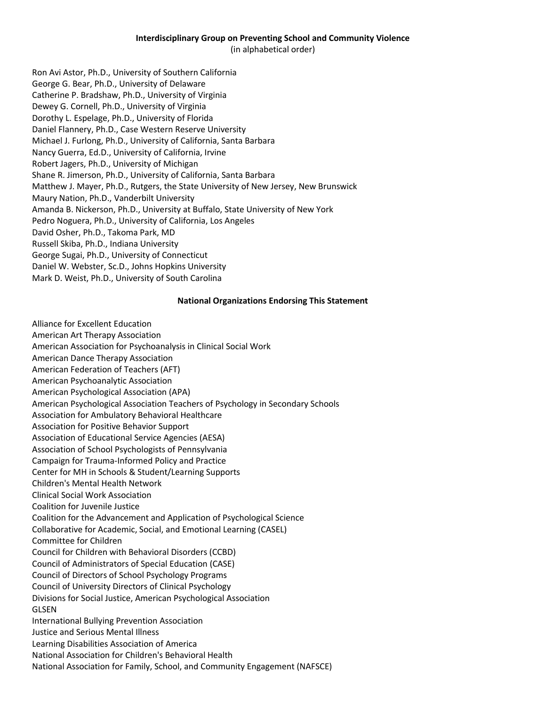#### **Interdisciplinary Group on Preventing School and Community Violence**

(in alphabetical order)

Ron Avi Astor, Ph.D., University of Southern California George G. Bear, Ph.D., University of Delaware Catherine P. Bradshaw, Ph.D., University of Virginia Dewey G. Cornell, Ph.D., University of Virginia Dorothy L. Espelage, Ph.D., University of Florida Daniel Flannery, Ph.D., Case Western Reserve University Michael J. Furlong, Ph.D., University of California, Santa Barbara Nancy Guerra, Ed.D., University of California, Irvine Robert Jagers, Ph.D., University of Michigan Shane R. Jimerson, Ph.D., University of California, Santa Barbara Matthew J. Mayer, Ph.D., Rutgers, the State University of New Jersey, New Brunswick Maury Nation, Ph.D., Vanderbilt University Amanda B. Nickerson, Ph.D., University at Buffalo, State University of New York Pedro Noguera, Ph.D., University of California, Los Angeles David Osher, Ph.D., Takoma Park, MD Russell Skiba, Ph.D., Indiana University George Sugai, Ph.D., University of Connecticut Daniel W. Webster, Sc.D., Johns Hopkins University Mark D. Weist, Ph.D., University of South Carolina

### **National Organizations Endorsing This Statement**

Alliance for Excellent Education American Art Therapy Association American Association for Psychoanalysis in Clinical Social Work American Dance Therapy Association American Federation of Teachers (AFT) American Psychoanalytic Association American Psychological Association (APA) American Psychological Association Teachers of Psychology in Secondary Schools Association for Ambulatory Behavioral Healthcare Association for Positive Behavior Support Association of Educational Service Agencies (AESA) Association of School Psychologists of Pennsylvania Campaign for Trauma-Informed Policy and Practice Center for MH in Schools & Student/Learning Supports Children's Mental Health Network Clinical Social Work Association Coalition for Juvenile Justice Coalition for the Advancement and Application of Psychological Science Collaborative for Academic, Social, and Emotional Learning (CASEL) Committee for Children Council for Children with Behavioral Disorders (CCBD) Council of Administrators of Special Education (CASE) Council of Directors of School Psychology Programs Council of University Directors of Clinical Psychology Divisions for Social Justice, American Psychological Association GLSEN International Bullying Prevention Association Justice and Serious Mental Illness Learning Disabilities Association of America National Association for Children's Behavioral Health National Association for Family, School, and Community Engagement (NAFSCE)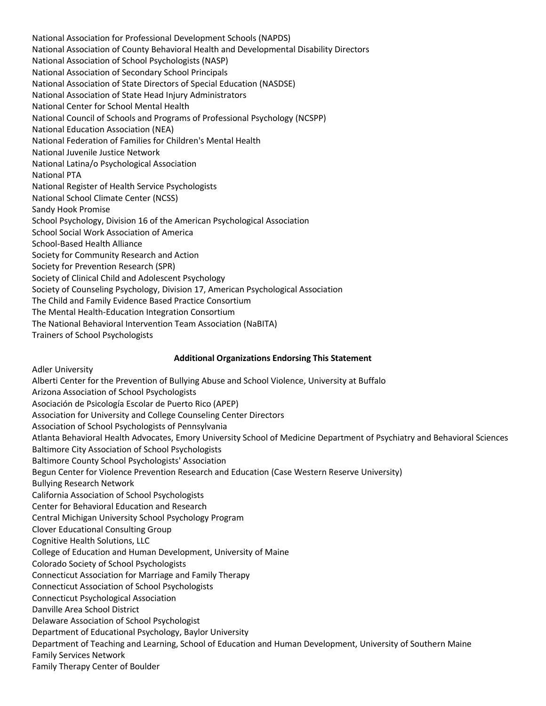National Association for Professional Development Schools (NAPDS) National Association of County Behavioral Health and Developmental Disability Directors National Association of School Psychologists (NASP) National Association of Secondary School Principals National Association of State Directors of Special Education (NASDSE) National Association of State Head Injury Administrators National Center for School Mental Health National Council of Schools and Programs of Professional Psychology (NCSPP) National Education Association (NEA) National Federation of Families for Children's Mental Health National Juvenile Justice Network National Latina/o Psychological Association National PTA National Register of Health Service Psychologists National School Climate Center (NCSS) Sandy Hook Promise School Psychology, Division 16 of the American Psychological Association School Social Work Association of America School-Based Health Alliance Society for Community Research and Action Society for Prevention Research (SPR) Society of Clinical Child and Adolescent Psychology Society of Counseling Psychology, Division 17, American Psychological Association The Child and Family Evidence Based Practice Consortium The Mental Health-Education Integration Consortium The National Behavioral Intervention Team Association (NaBITA) Trainers of School Psychologists

### **Additional Organizations Endorsing This Statement**

Adler University

Alberti Center for the Prevention of Bullying Abuse and School Violence, University at Buffalo Arizona Association of School Psychologists Asociación de Psicología Escolar de Puerto Rico (APEP) Association for University and College Counseling Center Directors Association of School Psychologists of Pennsylvania Atlanta Behavioral Health Advocates, Emory University School of Medicine Department of Psychiatry and Behavioral Sciences Baltimore City Association of School Psychologists Baltimore County School Psychologists' Association Begun Center for Violence Prevention Research and Education (Case Western Reserve University) Bullying Research Network California Association of School Psychologists Center for Behavioral Education and Research Central Michigan University School Psychology Program Clover Educational Consulting Group Cognitive Health Solutions, LLC College of Education and Human Development, University of Maine Colorado Society of School Psychologists Connecticut Association for Marriage and Family Therapy Connecticut Association of School Psychologists Connecticut Psychological Association Danville Area School District Delaware Association of School Psychologist Department of Educational Psychology, Baylor University Department of Teaching and Learning, School of Education and Human Development, University of Southern Maine Family Services Network Family Therapy Center of Boulder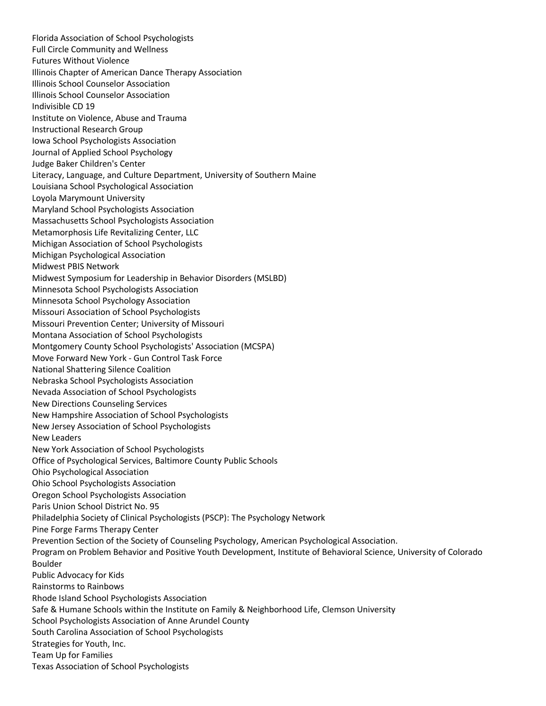Full Circle Community and Wellness Futures Without Violence Illinois Chapter of American Dance Therapy Association Illinois School Counselor Association Illinois School Counselor Association Indivisible CD 19 Institute on Violence, Abuse and Trauma Instructional Research Group Iowa School Psychologists Association Journal of Applied School Psychology Judge Baker Children's Center Literacy, Language, and Culture Department, University of Southern Maine Louisiana School Psychological Association Loyola Marymount University Maryland School Psychologists Association Massachusetts School Psychologists Association Metamorphosis Life Revitalizing Center, LLC Michigan Association of School Psychologists Michigan Psychological Association Midwest PBIS Network Midwest Symposium for Leadership in Behavior Disorders (MSLBD) Minnesota School Psychologists Association Minnesota School Psychology Association Missouri Association of School Psychologists Missouri Prevention Center; University of Missouri Montana Association of School Psychologists Montgomery County School Psychologists' Association (MCSPA) Move Forward New York - Gun Control Task Force National Shattering Silence Coalition Nebraska School Psychologists Association Nevada Association of School Psychologists New Directions Counseling Services New Hampshire Association of School Psychologists New Jersey Association of School Psychologists New Leaders New York Association of School Psychologists Office of Psychological Services, Baltimore County Public Schools Ohio Psychological Association Ohio School Psychologists Association Oregon School Psychologists Association Paris Union School District No. 95 Philadelphia Society of Clinical Psychologists (PSCP): The Psychology Network Pine Forge Farms Therapy Center Prevention Section of the Society of Counseling Psychology, American Psychological Association. Program on Problem Behavior and Positive Youth Development, Institute of Behavioral Science, University of Colorado Boulder Public Advocacy for Kids Rainstorms to Rainbows Rhode Island School Psychologists Association Safe & Humane Schools within the Institute on Family & Neighborhood Life, Clemson University School Psychologists Association of Anne Arundel County South Carolina Association of School Psychologists Strategies for Youth, Inc. Team Up for Families Texas Association of School Psychologists

Florida Association of School Psychologists